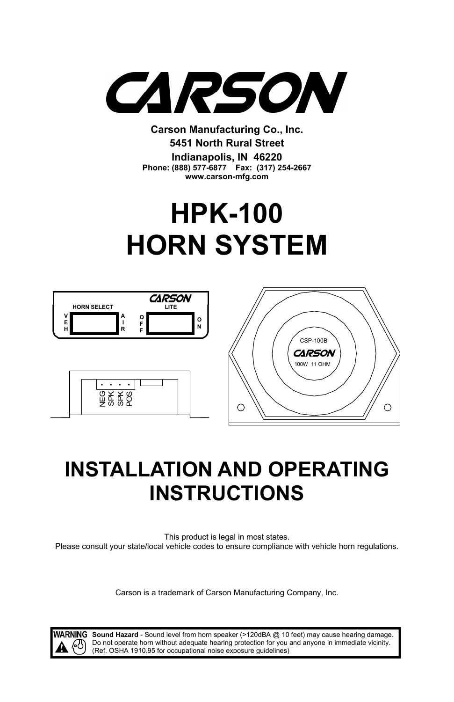

**Carson Manufacturing Co., Inc. 5451 North Rural Street Indianapolis, IN 46220 Phone: (888) 577-6877 Fax: (317) 254-2667 www.carson-mfg.com**

# **HPK-100 HORN SYSTEM**



## **INSTALLATION AND OPERATING INSTRUCTIONS**

This product is legal in most states. Please consult your state/local vehicle codes to ensure compliance with vehicle horn regulations.

Carson is a trademark of Carson Manufacturing Company, Inc.

WARNING Sound Hazard - Sound level from horn speaker (>120dBA @ 10 feet) may cause hearing damage. Do not operate horn without adequate hearing protection for you and anyone in immediate vicinity. (Ref. OSHA 1910.95 for occupational noise exposure guidelines)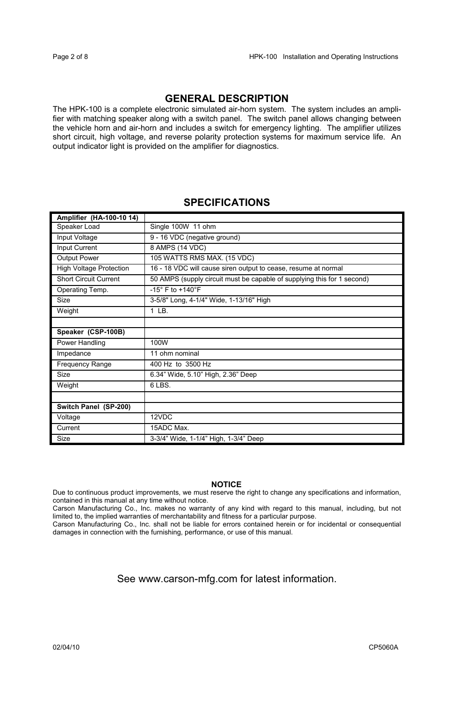## **GENERAL DESCRIPTION**

The HPK-100 is a complete electronic simulated air-horn system. The system includes an amplifier with matching speaker along with a switch panel. The switch panel allows changing between the vehicle horn and air-horn and includes a switch for emergency lighting. The amplifier utilizes short circuit, high voltage, and reverse polarity protection systems for maximum service life. An output indicator light is provided on the amplifier for diagnostics.

## **SPECIFICATIONS**

| Amplifier (HA-100-10 14)       |                                                                         |
|--------------------------------|-------------------------------------------------------------------------|
| Speaker Load                   | Single 100W 11 ohm                                                      |
| Input Voltage                  | 9 - 16 VDC (negative ground)                                            |
| Input Current                  | 8 AMPS (14 VDC)                                                         |
| Output Power                   | 105 WATTS RMS MAX. (15 VDC)                                             |
| <b>High Voltage Protection</b> | 16 - 18 VDC will cause siren output to cease, resume at normal          |
| <b>Short Circuit Current</b>   | 50 AMPS (supply circuit must be capable of supplying this for 1 second) |
| Operating Temp.                | -15° F to +140°F                                                        |
| Size                           | 3-5/8" Long, 4-1/4" Wide, 1-13/16" High                                 |
| Weight                         | $1$ LB.                                                                 |
|                                |                                                                         |
| Speaker (CSP-100B)             |                                                                         |
| Power Handling                 | 100W                                                                    |
| Impedance                      | 11 ohm nominal                                                          |
| Frequency Range                | 400 Hz to 3500 Hz                                                       |
| Size                           | 6.34" Wide, 5.10" High, 2.36" Deep                                      |
| Weight                         | $6$ LBS.                                                                |
|                                |                                                                         |
| Switch Panel (SP-200)          |                                                                         |
| Voltage                        | 12VDC                                                                   |
| Current                        | 15ADC Max.                                                              |
| Size                           | 3-3/4" Wide, 1-1/4" High, 1-3/4" Deep                                   |

#### **NOTICE**

Due to continuous product improvements, we must reserve the right to change any specifications and information, contained in this manual at any time without notice.

Carson Manufacturing Co., Inc. makes no warranty of any kind with regard to this manual, including, but not limited to, the implied warranties of merchantability and fitness for a particular purpose.

Carson Manufacturing Co., Inc. shall not be liable for errors contained herein or for incidental or consequential damages in connection with the furnishing, performance, or use of this manual.

## See www.carson-mfg.com for latest information.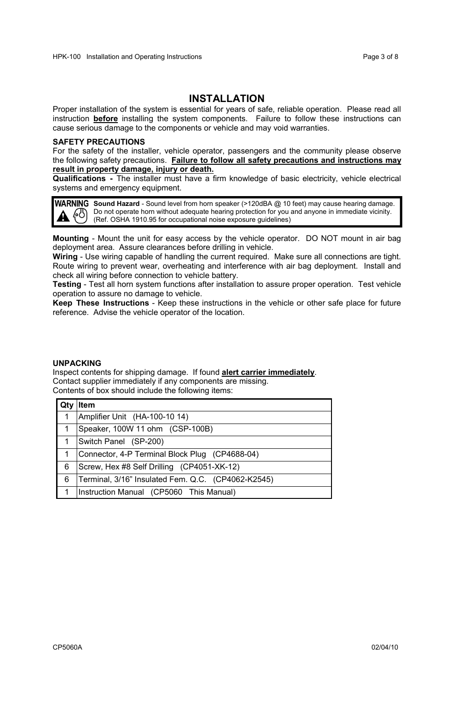### **INSTALLATION**

Proper installation of the system is essential for years of safe, reliable operation. Please read all instruction **before** installing the system components. Failure to follow these instructions can cause serious damage to the components or vehicle and may void warranties.

#### **SAFETY PRECAUTIONS**

For the safety of the installer, vehicle operator, passengers and the community please observe the following safety precautions. **Failure to follow all safety precautions and instructions may result in property damage, injury or death.**

**Qualifications -** The installer must have a firm knowledge of basic electricity, vehicle electrical systems and emergency equipment.

**WARNING** Sound Hazard - Sound level from horn speaker (>120dBA @ 10 feet) may cause hearing damage. Do not operate horn without adequate hearing protection for you and anyone in immediate vicinity. (Ref. OSHA 1910.95 for occupational noise exposure guidelines)

**Mounting** - Mount the unit for easy access by the vehicle operator. DO NOT mount in air bag deployment area. Assure clearances before drilling in vehicle.

**Wiring** - Use wiring capable of handling the current required. Make sure all connections are tight. Route wiring to prevent wear, overheating and interference with air bag deployment. Install and check all wiring before connection to vehicle battery.

**Testing** - Test all horn system functions after installation to assure proper operation. Test vehicle operation to assure no damage to vehicle.

**Keep These Instructions** - Keep these instructions in the vehicle or other safe place for future reference. Advise the vehicle operator of the location.

#### **UNPACKING**

Inspect contents for shipping damage. If found **alert carrier immediately**. Contact supplier immediately if any components are missing. Contents of box should include the following items:

|   | Item                                               |
|---|----------------------------------------------------|
| 1 | Amplifier Unit (HA-100-10 14)                      |
|   | Speaker, 100W 11 ohm (CSP-100B)                    |
|   | Switch Panel (SP-200)                              |
|   | Connector, 4-P Terminal Block Plug (CP4688-04)     |
| 6 | Screw, Hex #8 Self Drilling (CP4051-XK-12)         |
| 6 | Terminal, 3/16" Insulated Fem. Q.C. (CP4062-K2545) |
|   | Instruction Manual (CP5060 This Manual)            |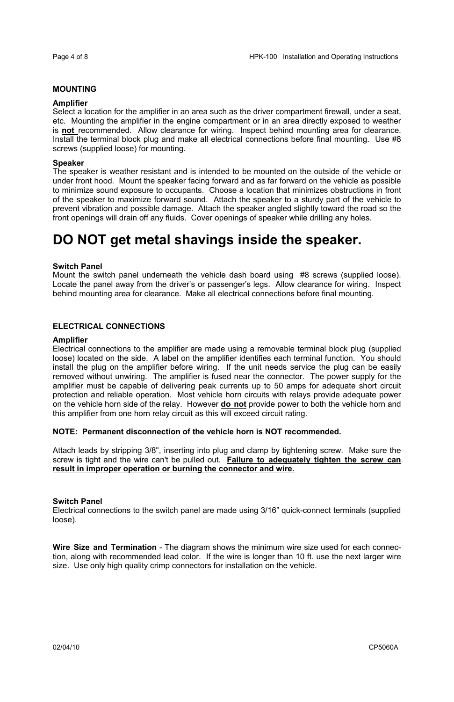#### **MOUNTING**

#### **Amplifier**

Select a location for the amplifier in an area such as the driver compartment firewall, under a seat, etc. Mounting the amplifier in the engine compartment or in an area directly exposed to weather is **not** recommended. Allow clearance for wiring. Inspect behind mounting area for clearance. Install the terminal block plug and make all electrical connections before final mounting. Use #8 screws (supplied loose) for mounting.

#### **Speaker**

The speaker is weather resistant and is intended to be mounted on the outside of the vehicle or under front hood. Mount the speaker facing forward and as far forward on the vehicle as possible to minimize sound exposure to occupants. Choose a location that minimizes obstructions in front of the speaker to maximize forward sound. Attach the speaker to a sturdy part of the vehicle to prevent vibration and possible damage. Attach the speaker angled slightly toward the road so the front openings will drain off any fluids. Cover openings of speaker while drilling any holes.

## **DO NOT get metal shavings inside the speaker.**

#### **Switch Panel**

Mount the switch panel underneath the vehicle dash board using #8 screws (supplied loose). Locate the panel away from the driver's or passenger's legs. Allow clearance for wiring. Inspect behind mounting area for clearance. Make all electrical connections before final mounting.

#### **ELECTRICAL CONNECTIONS**

#### **Amplifier**

Electrical connections to the amplifier are made using a removable terminal block plug (supplied loose) located on the side. A label on the amplifier identifies each terminal function. You should install the plug on the amplifier before wiring. If the unit needs service the plug can be easily removed without unwiring. The amplifier is fused near the connector. The power supply for the amplifier must be capable of delivering peak currents up to 50 amps for adequate short circuit protection and reliable operation. Most vehicle horn circuits with relays provide adequate power on the vehicle horn side of the relay. However **do not** provide power to both the vehicle horn and this amplifier from one horn relay circuit as this will exceed circuit rating.

#### **NOTE: Permanent disconnection of the vehicle horn is NOT recommended.**

Attach leads by stripping 3/8", inserting into plug and clamp by tightening screw. Make sure the screw is tight and the wire can't be pulled out. **Failure to adequately tighten the screw can result in improper operation or burning the connector and wire.**

#### **Switch Panel**

Electrical connections to the switch panel are made using 3/16" quick-connect terminals (supplied loose).

**Wire Size and Termination** - The diagram shows the minimum wire size used for each connection, along with recommended lead color. If the wire is longer than 10 ft. use the next larger wire size. Use only high quality crimp connectors for installation on the vehicle.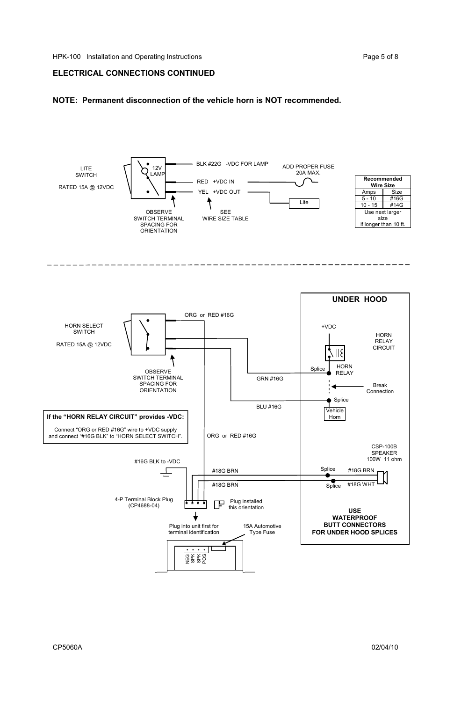#### **ELECTRICAL CONNECTIONS CONTINUED**

#### **NOTE: Permanent disconnection of the vehicle horn is NOT recommended.**

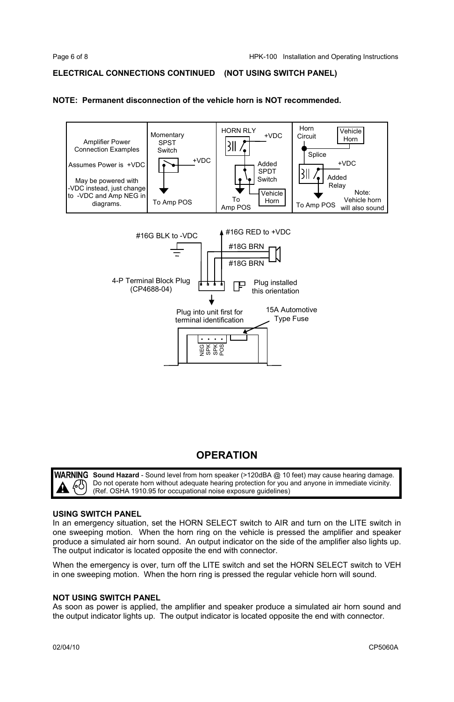#### **ELECTRICAL CONNECTIONS CONTINUED (NOT USING SWITCH PANEL)**

#### **NOTE: Permanent disconnection of the vehicle horn is NOT recommended.**



## **OPERATION**

WARNING Sound Hazard - Sound level from horn speaker (>120dBA @ 10 feet) may cause hearing damage. Do not operate horn without adequate hearing protection for you and anyone in immediate vicinity. (Ref. OSHA 1910.95 for occupational noise exposure guidelines)

#### **USING SWITCH PANEL**

In an emergency situation, set the HORN SELECT switch to AIR and turn on the LITE switch in one sweeping motion. When the horn ring on the vehicle is pressed the amplifier and speaker produce a simulated air horn sound. An output indicator on the side of the amplifier also lights up. The output indicator is located opposite the end with connector.

When the emergency is over, turn off the LITE switch and set the HORN SELECT switch to VEH in one sweeping motion. When the horn ring is pressed the regular vehicle horn will sound.

#### **NOT USING SWITCH PANEL**

As soon as power is applied, the amplifier and speaker produce a simulated air horn sound and the output indicator lights up. The output indicator is located opposite the end with connector.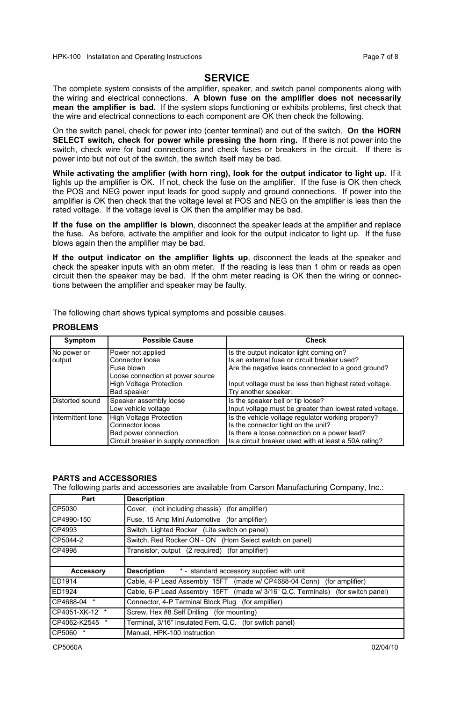#### **SERVICE**

The complete system consists of the amplifier, speaker, and switch panel components along with the wiring and electrical connections. **A blown fuse on the amplifier does not necessarily mean the amplifier is bad.** If the system stops functioning or exhibits problems, first check that the wire and electrical connections to each component are OK then check the following.

On the switch panel, check for power into (center terminal) and out of the switch. **On the HORN SELECT switch, check for power while pressing the horn ring.** If there is not power into the switch, check wire for bad connections and check fuses or breakers in the circuit. If there is power into but not out of the switch, the switch itself may be bad.

**While activating the amplifier (with horn ring), look for the output indicator to light up.** If it lights up the amplifier is OK. If not, check the fuse on the amplifier. If the fuse is OK then check the POS and NEG power input leads for good supply and ground connections. If power into the amplifier is OK then check that the voltage level at POS and NEG on the amplifier is less than the rated voltage. If the voltage level is OK then the amplifier may be bad.

**If the fuse on the amplifier is blown**, disconnect the speaker leads at the amplifier and replace the fuse. As before, activate the amplifier and look for the output indicator to light up. If the fuse blows again then the amplifier may be bad.

**If the output indicator on the amplifier lights up**, disconnect the leads at the speaker and check the speaker inputs with an ohm meter. If the reading is less than 1 ohm or reads as open circuit then the speaker may be bad. If the ohm meter reading is OK then the wiring or connections between the amplifier and speaker may be faulty.

The following chart shows typical symptoms and possible causes.

#### **PROBLEMS**

| Symptom           | <b>Possible Cause</b>                                                     | Check                                                                                                                                     |
|-------------------|---------------------------------------------------------------------------|-------------------------------------------------------------------------------------------------------------------------------------------|
| No power or       | Power not applied<br>Connector loose                                      | Is the output indicator light coming on?<br>Is an external fuse or circuit breaker used?                                                  |
| output            | Fuse blown<br>Loose connection at power source                            | Are the negative leads connected to a good ground?                                                                                        |
|                   | <b>High Voltage Protection</b><br>Bad speaker                             | Input voltage must be less than highest rated voltage.<br>Try another speaker.                                                            |
| Distorted sound   | Speaker assembly loose<br>Low vehicle voltage                             | Is the speaker bell or tip loose?<br>Input voltage must be greater than lowest rated voltage.                                             |
| Intermittent tone | <b>High Voltage Protection</b><br>Connector loose<br>Bad power connection | Is the vehicle voltage regulator working properly?<br>Is the connector tight on the unit?<br>Is there a loose connection on a power lead? |
|                   | Circuit breaker in supply connection                                      | Is a circuit breaker used with at least a 50A rating?                                                                                     |

#### **PARTS and ACCESSORIES**

The following parts and accessories are available from Carson Manufacturing Company, Inc.:

| Part           | <b>Description</b>                                                              |
|----------------|---------------------------------------------------------------------------------|
| CP5030         | Cover, (not including chassis) (for amplifier)                                  |
| CP4990-150     | Fuse, 15 Amp Mini Automotive (for amplifier)                                    |
| CP4993         | Switch, Lighted Rocker (Lite switch on panel)                                   |
| CP5044-2       | Switch, Red Rocker ON - ON (Horn Select switch on panel)                        |
| CP4998         | Transistor, output (2 required) (for amplifier)                                 |
|                |                                                                                 |
|                |                                                                                 |
| Accessory      | <b>Description</b> * - standard accessory supplied with unit                    |
| ED1914         | Cable, 4-P Lead Assembly 15FT (made w/ CP4688-04 Conn) (for amplifier)          |
| ED1924         | Cable, 6-P Lead Assembly 15FT (made w/ 3/16" Q.C. Terminals) (for switch panel) |
| CP4688-04 *    | Connector, 4-P Terminal Block Plug (for amplifier)                              |
| CP4051-XK-12 * | Screw, Hex #8 Self Drilling (for mounting)                                      |
| CP4062-K2545 * | Terminal, 3/16" Insulated Fem. Q.C. (for switch panel)                          |